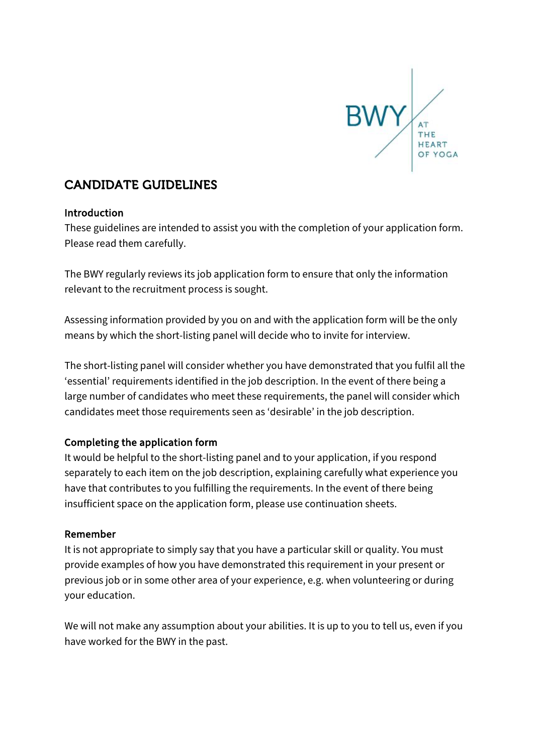

# CANDIDATE GUIDELINES

## Introduction

These guidelines are intended to assist you with the completion of your application form. Please read them carefully.

The BWY regularly reviews its job application form to ensure that only the information relevant to the recruitment process is sought.

Assessing information provided by you on and with the application form will be the only means by which the short-listing panel will decide who to invite for interview.

The short-listing panel will consider whether you have demonstrated that you fulfil all the 'essential' requirements identified in the job description. In the event of there being a large number of candidates who meet these requirements, the panel will consider which candidates meet those requirements seen as 'desirable' in the job description.

## Completing the application form

It would be helpful to the short-listing panel and to your application, if you respond separately to each item on the job description, explaining carefully what experience you have that contributes to you fulfilling the requirements. In the event of there being insufficient space on the application form, please use continuation sheets.

## Remember

It is not appropriate to simply say that you have a particular skill or quality. You must provide examples of how you have demonstrated this requirement in your present or previous job or in some other area of your experience, e.g. when volunteering or during your education.

We will not make any assumption about your abilities. It is up to you to tell us, even if you have worked for the BWY in the past.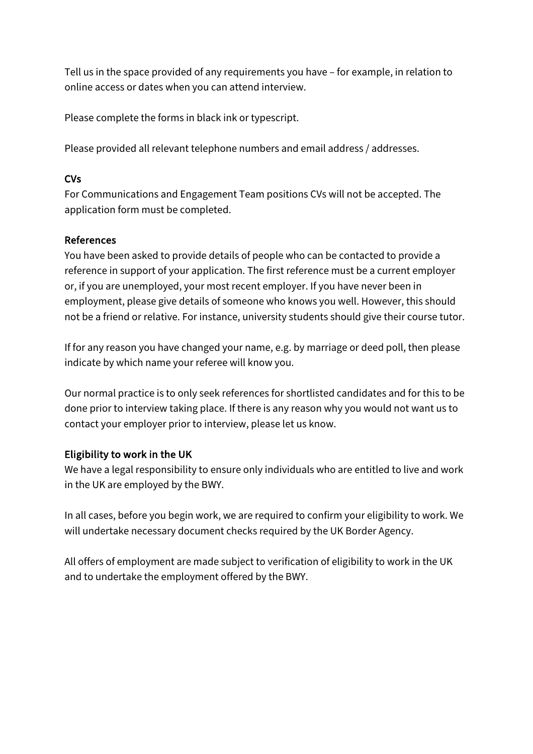Tell us in the space provided of any requirements you have – for example, in relation to online access or dates when you can attend interview.

Please complete the forms in black ink or typescript.

Please provided all relevant telephone numbers and email address / addresses.

# CVs

For Communications and Engagement Team positions CVs will not be accepted. The application form must be completed.

## References

You have been asked to provide details of people who can be contacted to provide a reference in support of your application. The first reference must be a current employer or, if you are unemployed, your most recent employer. If you have never been in employment, please give details of someone who knows you well. However, this should not be a friend or relative. For instance, university students should give their course tutor.

If for any reason you have changed your name, e.g. by marriage or deed poll, then please indicate by which name your referee will know you.

Our normal practice is to only seek references for shortlisted candidates and for this to be done prior to interview taking place. If there is any reason why you would not want us to contact your employer prior to interview, please let us know.

# Eligibility to work in the UK

We have a legal responsibility to ensure only individuals who are entitled to live and work in the UK are employed by the BWY.

In all cases, before you begin work, we are required to confirm your eligibility to work. We will undertake necessary document checks required by the UK Border Agency.

All offers of employment are made subject to verification of eligibility to work in the UK and to undertake the employment offered by the BWY.